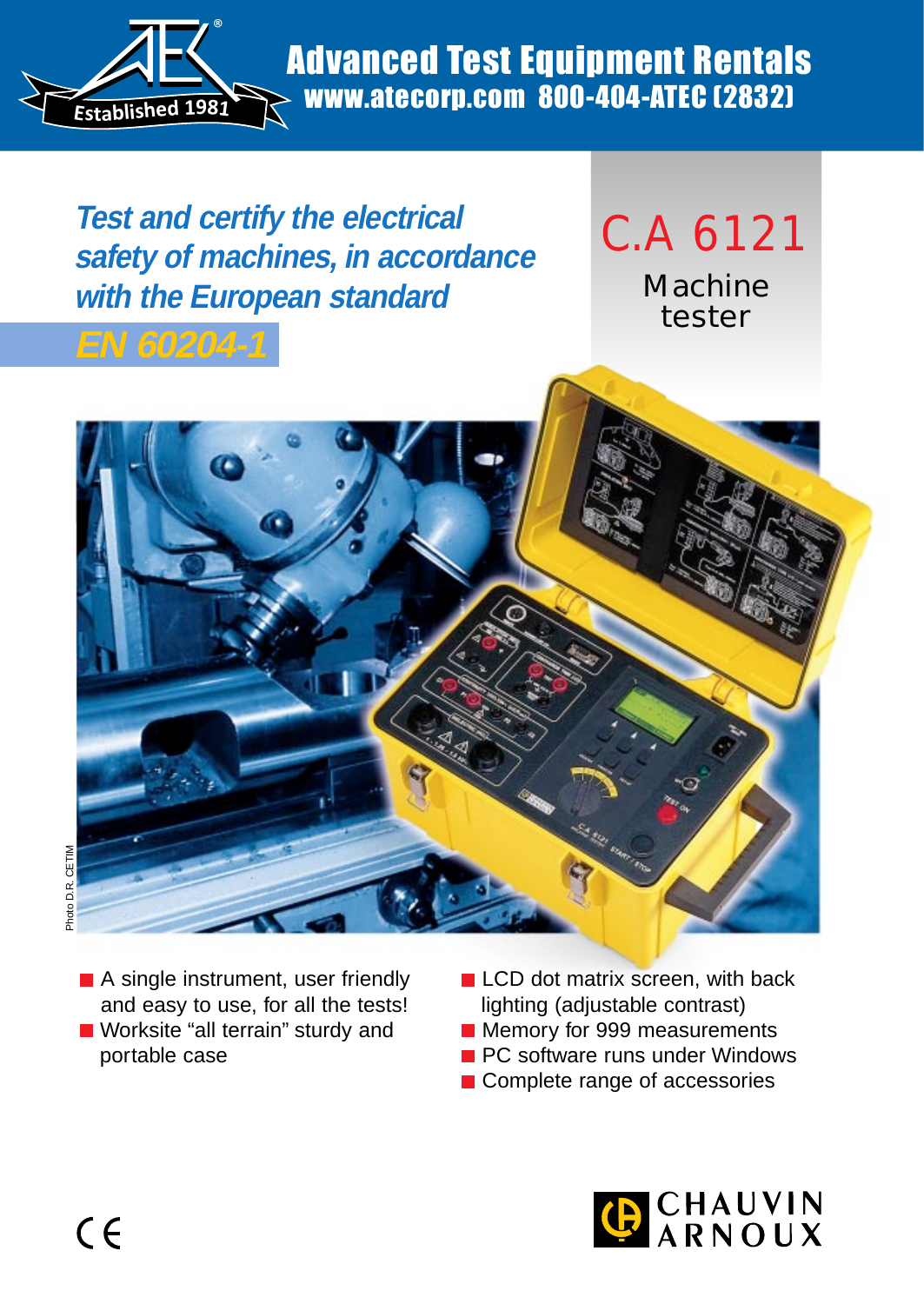

## Advanced Test Equipment Rentals www.atecorp.com 800-404-ATEC (2832)

**Test and certify the electrical safety of machines, in accordance with the European standard**

# C.A 6121 Machine

tester

**EN 60204-1**



- A single instrument, user friendly and easy to use, for all the tests! ■ Worksite "all terrain" sturdy and portable case
- **LCD** dot matrix screen, with back lighting (adjustable contrast)
- **Memory for 999 measurements**
- **PC** software runs under Windows
- Complete range of accessories

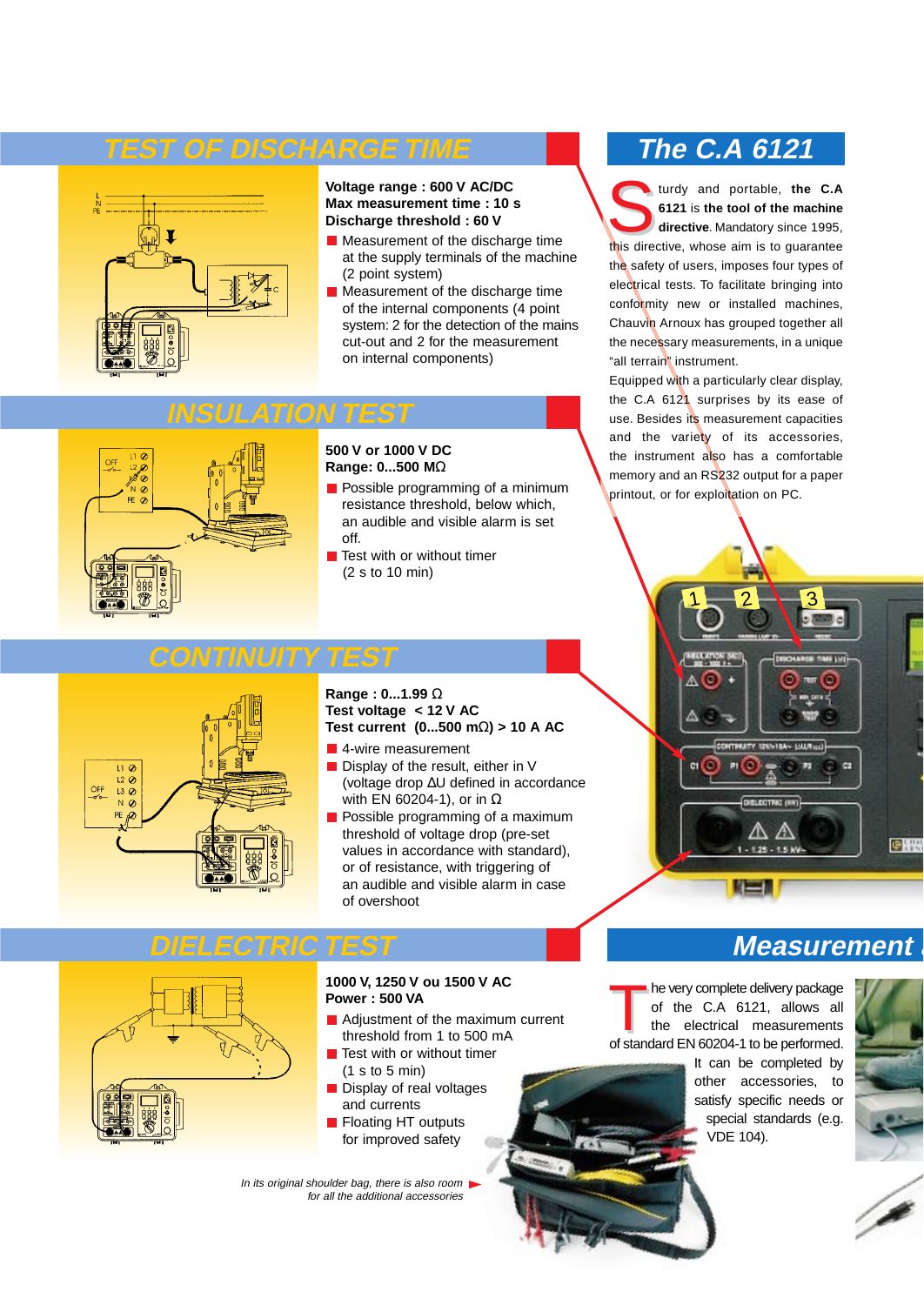## **TEST OF DISCHARGE TIME**



#### **Voltage range : 600 V AC/DC Max measurement time : 10 s Discharge threshold : 60 V**

- **Measurement of the discharge time** at the supply terminals of the machine (2 point system)
- **Measurement of the discharge time** of the internal components (4 point system: 2 for the detection of the mains cut-out and 2 for the measurement on internal components)

## **INSULATION TEST**

**CONTINUITY TEST**



#### **500 V or 1000 V DC Range: 0...500 M**Ω

- **Possible programming of a minimum** resistance threshold, below which, an audible and visible alarm is set off.
- $\blacksquare$  Test with or without timer (2 s to 10 min)

## **The C.A 6121**

turdy and portable, the C.A **6121** is **the tool of the machine directive**. Mandatory since 1995, this directive, whose aim is to guarantee the safety of users, imposes four types of electrical tests. To facilitate bringing into conformity new or installed machines, Chauvin Arnoux has grouped together all the necessary measurements, in a unique "all terrain" instrument.

Equipped with a particularly clear display, the C.A 6121 surprises by its ease of use. Besides its measurement capacities and the variety of its accessories, the instrument also has a comfortable memory and an RS232 output for a paper printout, or for exploitation on PC.

# 1 $1 - 2 - 3$ c2 DIELECTRIC (HH) ßΔ 中国县  $-1.25 - 1.5$  kV

# $L2\omega$  $\mathcal{Q}$  $NQ$

#### **Range : 0...1.99** Ω **Test voltage < 12 V AC Test current (0...500 m**Ω**) > 10 A AC**

- 4-wire measurement
- $\blacksquare$  Display of the result, either in V (voltage drop ∆U defined in accordance with EN 60204-1), or in  $Ω$
- **Possible programming of a maximum** threshold of voltage drop (pre-set values in accordance with standard), or of resistance, with triggering of an audible and visible alarm in case of overshoot

## **DIELECTRIC TEST**



#### **1000 V, 1250 V ou 1500 V AC Power : 500 VA**

- Adjustment of the maximum current  $\blacksquare$ threshold from 1 to 500 mA
- $\blacksquare$  Test with or without timer (1 s to 5 min)
- Display of real voltages and currents
- Floating HT outputs for improved safety

In its original shoulder bag, there is also room for all the additional accessories

he very complete delivery package of the C.A 6121, allows all the electrical measurements of standard EN 60204-1 to be performed.

> It can be completed by other accessories, to satisfy specific needs or special standards (e.g. VDE 104).

**Measurement a**



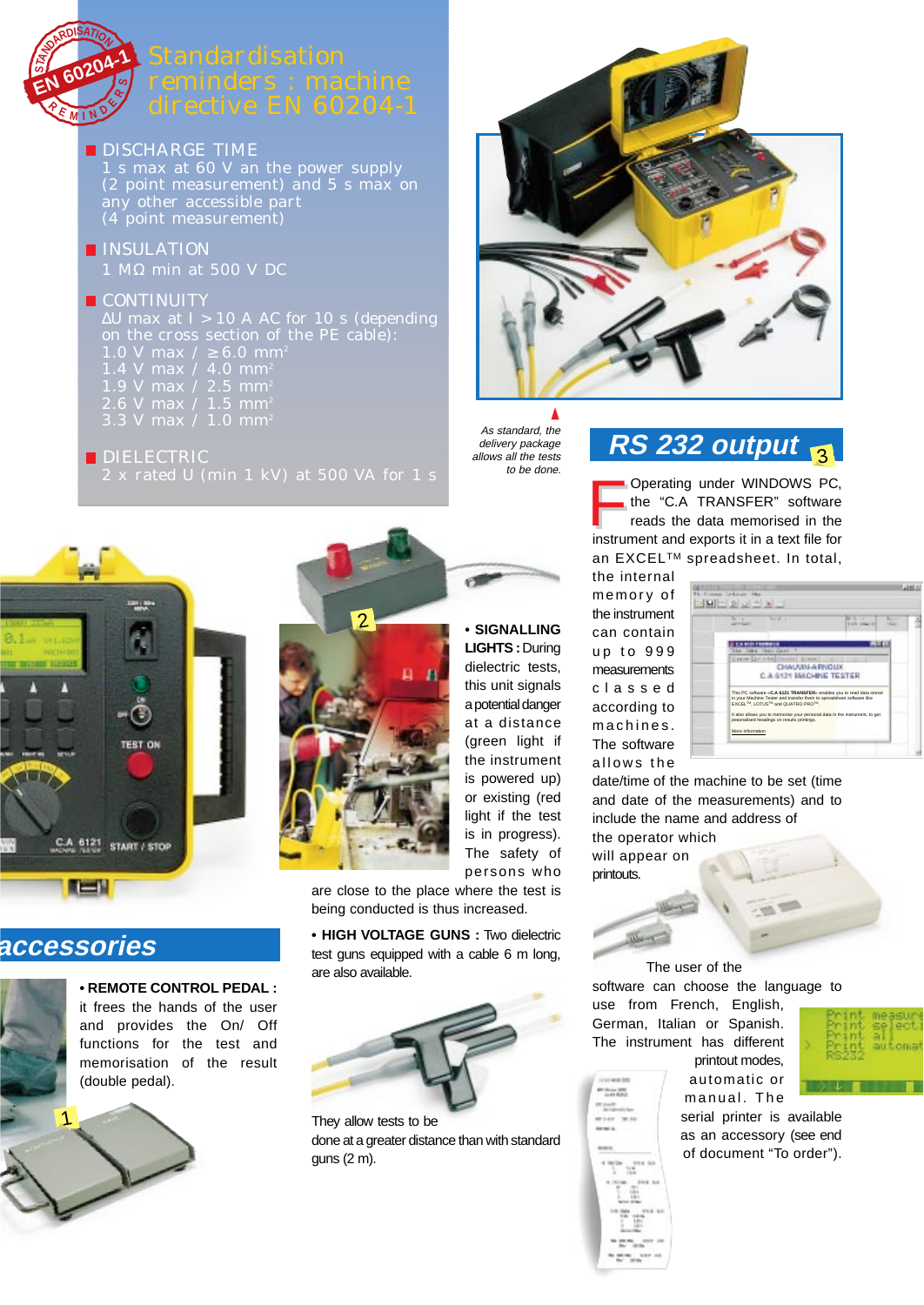

**DISCHARGE TIME** 

1 s max at 60 V an the power supply (2 point measurement) and 5 s max on any other accessible part (4 point measurement)

**INSULATION** 1 MΩ min at 500 V DC

#### **CONTINUITY**

∆U max at I > 10 A AC for 10 s (depending on the cross section of the PE cable): 1.0 V max  $/ \ge 6.0$  mm<sup>2</sup> 1.4 V max / 4.0 mm<sup>2</sup><br>1.9 V max / 2.5 mm<sup>2</sup>  $\frac{1}{2}$  max / 2.5 mm<sup>2</sup> 2.6 V max / 1.5 mm $^{\circ}$ 

**DIELECTRIC** 2 x rated U (min 1 kV) at 500 VA for 1 s



## **accessories**

**• REMOTE CONTROL PEDAL :** it frees the hands of the user and provides the On/ Off functions for the test and memorisation of the result





are close to the place where the test is being conducted is thus increased.

**• HIGH VOLTAGE GUNS :** Two dielectric test guns equipped with a cable 6 m long, are also available.



They allow tests to be done at a greater distance than with standard guns (2 m).



Δ As standard, the delivery package allows all the tests to be done.

# **RS 232 output** 3

**F** Operating under WINDOWS PC, the "C.A TRANSFER" software reads the data memorised in the instrument and exports it in a text file for an EXCEL™ spreadsheet. In total,

**HALL MODEL** 

the internal memory of the instrument can contain up to 999 measurements classed according to machines. The software allows the



date/time of the machine to be set (time and date of the measurements) and to include the name and address of the operator which

will appear on printouts.

Service 1995

The user of the software can choose the language to use from French, English,

German, Italian or Spanish. The instrument has different

printout modes, automatic or



manual. The serial printer is available as an accessory (see end of document "To order").